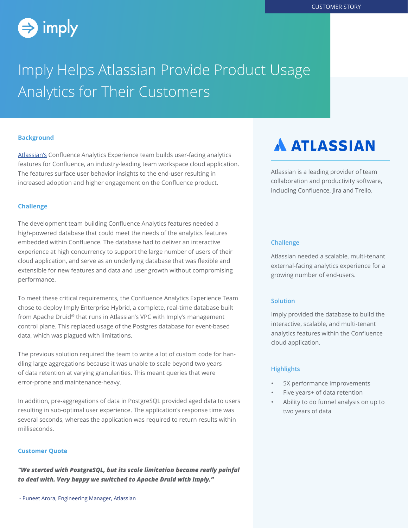

# Imply Helps Atlassian Provide Product Usage Analytics for Their Customers

#### **Background**

[Atlassian's](https://www.atlassian.com) Confluence Analytics Experience team builds user-facing analytics features for Confluence, an industry-leading team workspace cloud application. The features surface user behavior insights to the end-user resulting in increased adoption and higher engagement on the Confluence product.

#### **Challenge**

The development team building Confluence Analytics features needed a high-powered database that could meet the needs of the analytics features embedded within Confluence. The database had to deliver an interactive experience at high concurrency to support the large number of users of their cloud application, and serve as an underlying database that was flexible and extensible for new features and data and user growth without compromising performance.

To meet these critical requirements, the Confluence Analytics Experience Team chose to deploy Imply Enterprise Hybrid, a complete, real-time database built from Apache Druid® that runs in Atlassian's VPC with Imply's management control plane. This replaced usage of the Postgres database for event-based data, which was plagued with limitations.

The previous solution required the team to write a lot of custom code for handling large aggregations because it was unable to scale beyond two years of data retention at varying granularities. This meant queries that were error-prone and maintenance-heavy.

In addition, pre-aggregations of data in PostgreSQL provided aged data to users resulting in sub-optimal user experience. The application's response time was several seconds, whereas the application was required to return results within milliseconds.

#### **Customer Quote**

*"We started with PostgreSQL, but its scale limitation became really painful to deal with. Very happy we switched to Apache Druid with Imply."* 

## **A ATLASSIAN**

Atlassian is a leading provider of team collaboration and productivity software, including Confluence, Jira and Trello.

#### **Challenge**

Atlassian needed a scalable, multi-tenant external-facing analytics experience for a growing number of end-users.

#### **Solution**

Imply provided the database to build the interactive, scalable, and multi-tenant analytics features within the Confluence cloud application.

#### **Highlights**

- 5X performance improvements
- Five years+ of data retention
- Ability to do funnel analysis on up to two years of data